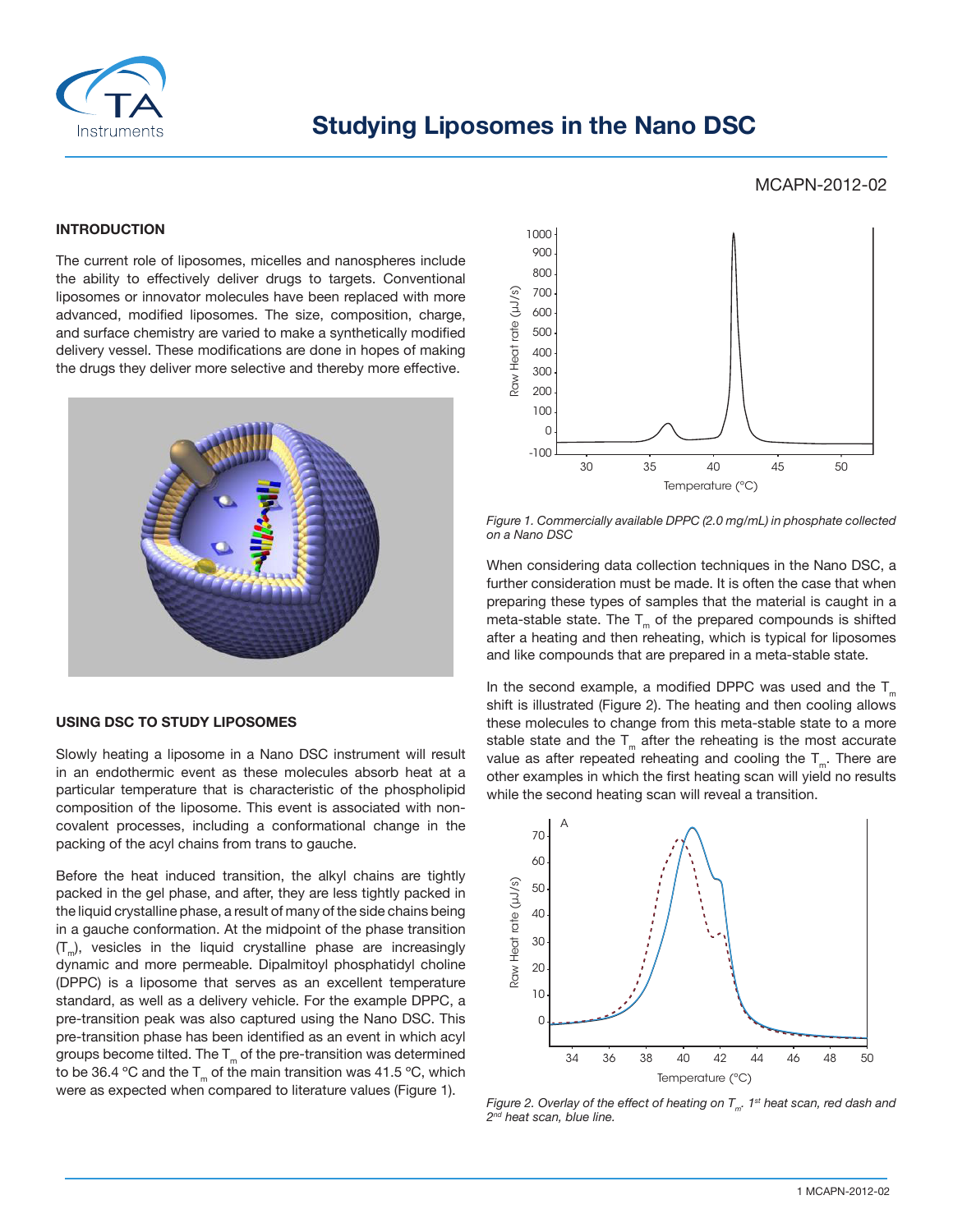

# **Studying Liposomes in the Nano DSC**

## MCAPN-2012-02

#### **INTRODUCTION**

The current role of liposomes, micelles and nanospheres include the ability to effectively deliver drugs to targets. Conventional liposomes or innovator molecules have been replaced with more advanced, modified liposomes. The size, composition, charge, and surface chemistry are varied to make a synthetically modified delivery vessel. These modifications are done in hopes of making the drugs they deliver more selective and thereby more effective.



#### **USING DSC TO STUDY LIPOSOMES**

Slowly heating a liposome in a Nano DSC instrument will result in an endothermic event as these molecules absorb heat at a particular temperature that is characteristic of the phospholipid composition of the liposome. This event is associated with noncovalent processes, including a conformational change in the packing of the acyl chains from trans to gauche.

Before the heat induced transition, the alkyl chains are tightly packed in the gel phase, and after, they are less tightly packed in the liquid crystalline phase, a result of many of the side chains being in a gauche conformation. At the midpoint of the phase transition  $(T_m)$ , vesicles in the liquid crystalline phase are increasingly dynamic and more permeable. Dipalmitoyl phosphatidyl choline (DPPC) is a liposome that serves as an excellent temperature standard, as well as a delivery vehicle. For the example DPPC, a pre-transition peak was also captured using the Nano DSC. This pre-transition phase has been identified as an event in which acyl groups become tilted. The  $T_m$  of the pre-transition was determined to be 36.4 °C and the  $T_m$  of the main transition was 41.5 °C, which were as expected when compared to literature values (Figure 1).



*Figure 1. Commercially available DPPC (2.0 mg/mL) in phosphate collected on a Nano DSC*

When considering data collection techniques in the Nano DSC, a further consideration must be made. It is often the case that when preparing these types of samples that the material is caught in a meta-stable state. The  $T_m$  of the prepared compounds is shifted after a heating and then reheating, which is typical for liposomes and like compounds that are prepared in a meta-stable state.

In the second example, a modified DPPC was used and the  $T_{m}$ shift is illustrated (Figure 2). The heating and then cooling allows these molecules to change from this meta-stable state to a more stable state and the  $T_m$  after the reheating is the most accurate value as after repeated reheating and cooling the  $T_{m}$ . There are other examples in which the first heating scan will yield no results while the second heating scan will reveal a transition.



*Figure 2. Overlay of the effect of heating on*  $T_m$ *. 1<sup>st</sup> heat scan, red dash and*  $2^{nd}$  heat scan, blue line.